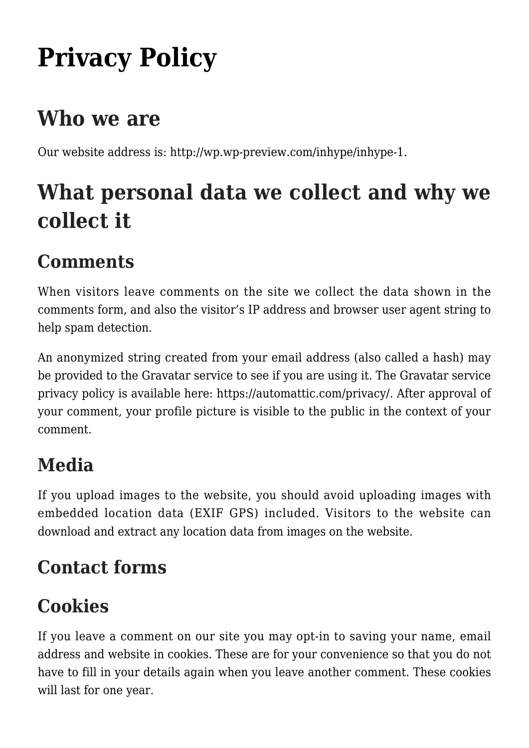# **[Privacy Policy](https://gpsnews.ucsd.edu/privacy-policy-2/)**

### **Who we are**

Our website address is: http://wp.wp-preview.com/inhype/inhype-1.

# **What personal data we collect and why we collect it**

### **Comments**

When visitors leave comments on the site we collect the data shown in the comments form, and also the visitor's IP address and browser user agent string to help spam detection.

An anonymized string created from your email address (also called a hash) may be provided to the Gravatar service to see if you are using it. The Gravatar service privacy policy is available here: https://automattic.com/privacy/. After approval of your comment, your profile picture is visible to the public in the context of your comment.

#### **Media**

If you upload images to the website, you should avoid uploading images with embedded location data (EXIF GPS) included. Visitors to the website can download and extract any location data from images on the website.

#### **Contact forms**

### **Cookies**

If you leave a comment on our site you may opt-in to saving your name, email address and website in cookies. These are for your convenience so that you do not have to fill in your details again when you leave another comment. These cookies will last for one year.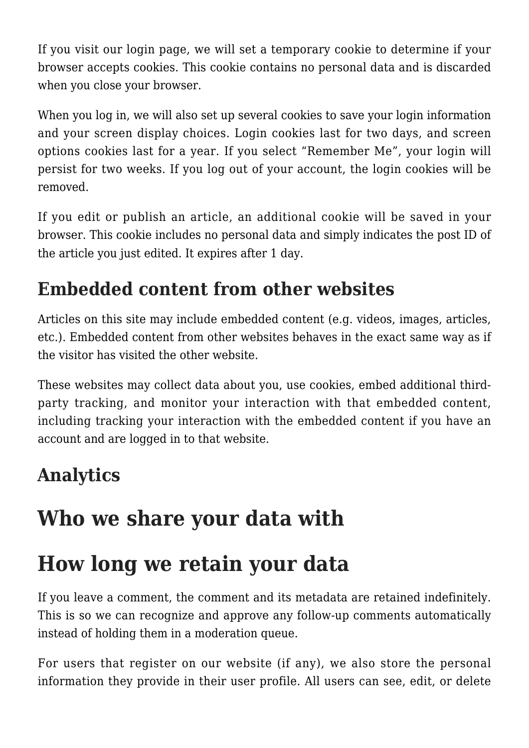If you visit our login page, we will set a temporary cookie to determine if your browser accepts cookies. This cookie contains no personal data and is discarded when you close your browser.

When you log in, we will also set up several cookies to save your login information and your screen display choices. Login cookies last for two days, and screen options cookies last for a year. If you select "Remember Me", your login will persist for two weeks. If you log out of your account, the login cookies will be removed.

If you edit or publish an article, an additional cookie will be saved in your browser. This cookie includes no personal data and simply indicates the post ID of the article you just edited. It expires after 1 day.

#### **Embedded content from other websites**

Articles on this site may include embedded content (e.g. videos, images, articles, etc.). Embedded content from other websites behaves in the exact same way as if the visitor has visited the other website.

These websites may collect data about you, use cookies, embed additional thirdparty tracking, and monitor your interaction with that embedded content, including tracking your interaction with the embedded content if you have an account and are logged in to that website.

#### **Analytics**

### **Who we share your data with**

### **How long we retain your data**

If you leave a comment, the comment and its metadata are retained indefinitely. This is so we can recognize and approve any follow-up comments automatically instead of holding them in a moderation queue.

For users that register on our website (if any), we also store the personal information they provide in their user profile. All users can see, edit, or delete